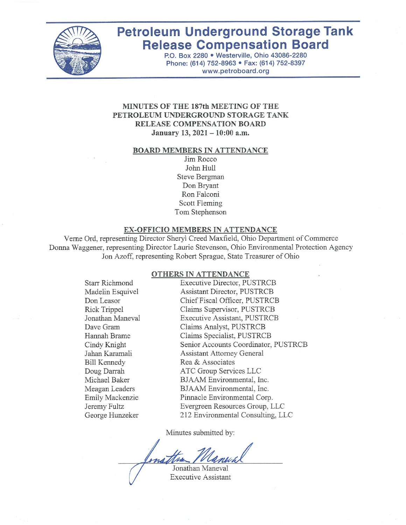

# **Petroleum Underground Storage Tank Release Compensation Board**

P.O. Box 2280 . Westerville, Ohio 43086-2280 Phone: (614) 752-8963 · Fax: (614) 752-8397 www.petroboard.org

#### MINUTES OF THE 187th MEETING OF THE PETROLEUM UNDERGROUND STORAGE TANK RELEASE COMPENSATION BOARD January 13, 2021 - 10:00 a.m.

#### **BOARD MEMBERS IN ATTENDANCE**

Jim Rocco John Hull Steve Bergman Don Bryant Ron Falconi Scott Fleming Tom Stephenson

#### EX-OFFICIO MEMBERS IN ATTENDANCE

Verne Ord, representing Director Sheryl Creed Maxfield, Ohio Department of Commerce Donna Waggener, representing Director Laurie Stevenson, Ohio Environmental Protection Agency Jon Azoff, representing Robert Sprague, State Treasurer of Ohio

#### OTHERS IN ATTENDANCE

| <b>Starr Richmond</b> | <b>Executive Director, PUSTRCB</b>   |
|-----------------------|--------------------------------------|
| Madelin Esquivel      | <b>Assistant Director, PUSTRCB</b>   |
| Don Leasor            | Chief Fiscal Officer, PUSTRCB        |
| Rick Trippel          | Claims Supervisor, PUSTRCB           |
| Jonathan Maneval      | <b>Executive Assistant, PUSTRCB</b>  |
| Dave Gram             | Claims Analyst, PUSTRCB              |
| Hannah Brame          | Claims Specialist, PUSTRCB           |
| Cindy Knight          | Senior Accounts Coordinator, PUSTRCB |
| Jahan Karamali        | <b>Assistant Attorney General</b>    |
| <b>Bill Kennedy</b>   | Rea & Associates                     |
| Doug Darrah           | ATC Group Services LLC               |
| Michael Baker         | BJAAM Environmental, Inc.            |
| Meagan Leaders        | BJAAM Environmental, Inc.            |
| Emily Mackenzie       | Pinnacle Environmental Corp.         |
| Jeremy Fultz          | Evergreen Resources Group, LLC       |
| George Hunzeker       | 212 Environmental Consulting, LLC    |
|                       |                                      |

Minutes submitted by:

Jonathan Maneval

**Executive Assistant**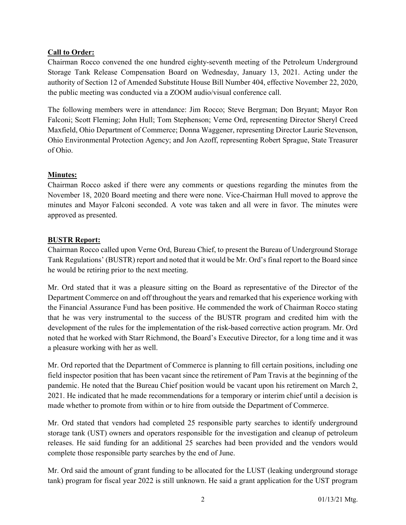# Call to Order:

Chairman Rocco convened the one hundred eighty-seventh meeting of the Petroleum Underground Storage Tank Release Compensation Board on Wednesday, January 13, 2021. Acting under the authority of Section 12 of Amended Substitute House Bill Number 404, effective November 22, 2020, the public meeting was conducted via a ZOOM audio/visual conference call.

The following members were in attendance: Jim Rocco; Steve Bergman; Don Bryant; Mayor Ron Falconi; Scott Fleming; John Hull; Tom Stephenson; Verne Ord, representing Director Sheryl Creed Maxfield, Ohio Department of Commerce; Donna Waggener, representing Director Laurie Stevenson, Ohio Environmental Protection Agency; and Jon Azoff, representing Robert Sprague, State Treasurer of Ohio.

## Minutes:

Chairman Rocco asked if there were any comments or questions regarding the minutes from the November 18, 2020 Board meeting and there were none. Vice-Chairman Hull moved to approve the minutes and Mayor Falconi seconded. A vote was taken and all were in favor. The minutes were approved as presented.

#### BUSTR Report:

Chairman Rocco called upon Verne Ord, Bureau Chief, to present the Bureau of Underground Storage Tank Regulations' (BUSTR) report and noted that it would be Mr. Ord's final report to the Board since he would be retiring prior to the next meeting.

Mr. Ord stated that it was a pleasure sitting on the Board as representative of the Director of the Department Commerce on and off throughout the years and remarked that his experience working with the Financial Assurance Fund has been positive. He commended the work of Chairman Rocco stating that he was very instrumental to the success of the BUSTR program and credited him with the development of the rules for the implementation of the risk-based corrective action program. Mr. Ord noted that he worked with Starr Richmond, the Board's Executive Director, for a long time and it was a pleasure working with her as well.

Mr. Ord reported that the Department of Commerce is planning to fill certain positions, including one field inspector position that has been vacant since the retirement of Pam Travis at the beginning of the pandemic. He noted that the Bureau Chief position would be vacant upon his retirement on March 2, 2021. He indicated that he made recommendations for a temporary or interim chief until a decision is made whether to promote from within or to hire from outside the Department of Commerce.

Mr. Ord stated that vendors had completed 25 responsible party searches to identify underground storage tank (UST) owners and operators responsible for the investigation and cleanup of petroleum releases. He said funding for an additional 25 searches had been provided and the vendors would complete those responsible party searches by the end of June.

Mr. Ord said the amount of grant funding to be allocated for the LUST (leaking underground storage tank) program for fiscal year 2022 is still unknown. He said a grant application for the UST program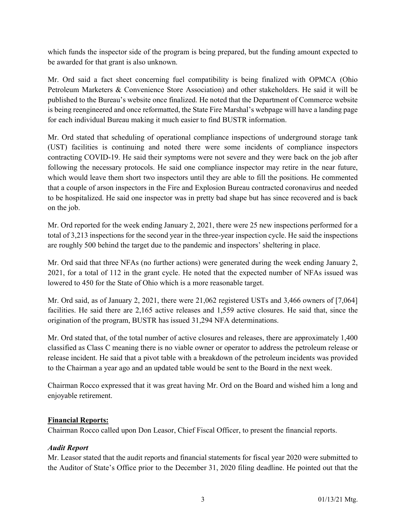which funds the inspector side of the program is being prepared, but the funding amount expected to be awarded for that grant is also unknown.

Mr. Ord said a fact sheet concerning fuel compatibility is being finalized with OPMCA (Ohio Petroleum Marketers & Convenience Store Association) and other stakeholders. He said it will be published to the Bureau's website once finalized. He noted that the Department of Commerce website is being reengineered and once reformatted, the State Fire Marshal's webpage will have a landing page for each individual Bureau making it much easier to find BUSTR information.

Mr. Ord stated that scheduling of operational compliance inspections of underground storage tank (UST) facilities is continuing and noted there were some incidents of compliance inspectors contracting COVID-19. He said their symptoms were not severe and they were back on the job after following the necessary protocols. He said one compliance inspector may retire in the near future, which would leave them short two inspectors until they are able to fill the positions. He commented that a couple of arson inspectors in the Fire and Explosion Bureau contracted coronavirus and needed to be hospitalized. He said one inspector was in pretty bad shape but has since recovered and is back on the job.

Mr. Ord reported for the week ending January 2, 2021, there were 25 new inspections performed for a total of 3,213 inspections for the second year in the three-year inspection cycle. He said the inspections are roughly 500 behind the target due to the pandemic and inspectors' sheltering in place.

Mr. Ord said that three NFAs (no further actions) were generated during the week ending January 2, 2021, for a total of 112 in the grant cycle. He noted that the expected number of NFAs issued was lowered to 450 for the State of Ohio which is a more reasonable target.

Mr. Ord said, as of January 2, 2021, there were 21,062 registered USTs and 3,466 owners of [7,064] facilities. He said there are 2,165 active releases and 1,559 active closures. He said that, since the origination of the program, BUSTR has issued 31,294 NFA determinations.

Mr. Ord stated that, of the total number of active closures and releases, there are approximately 1,400 classified as Class C meaning there is no viable owner or operator to address the petroleum release or release incident. He said that a pivot table with a breakdown of the petroleum incidents was provided to the Chairman a year ago and an updated table would be sent to the Board in the next week.

Chairman Rocco expressed that it was great having Mr. Ord on the Board and wished him a long and enjoyable retirement.

#### Financial Reports:

Chairman Rocco called upon Don Leasor, Chief Fiscal Officer, to present the financial reports.

# Audit Report

Mr. Leasor stated that the audit reports and financial statements for fiscal year 2020 were submitted to the Auditor of State's Office prior to the December 31, 2020 filing deadline. He pointed out that the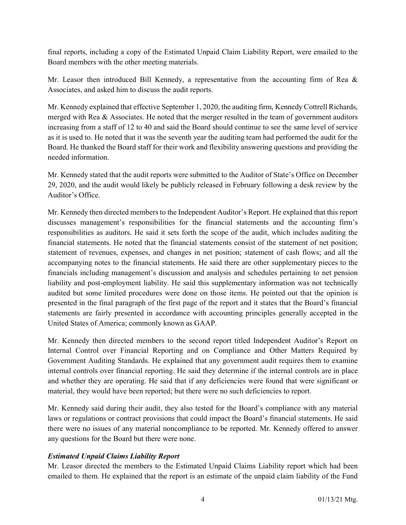final reports, including a copy of the Estimated Unpaid Claim Liability Report, were emailed to the Board members with the other meeting materials.

Mr. Leasor then introduced Bill Kennedy, a representative from the accounting firm of Rea & Associates, and asked him to discuss the audit reports.

Mr. Kennedy explained that effective September 1, 2020, the auditing firm, Kennedy Cottrell Richards, merged with Rea  $\&$  Associates. He noted that the merger resulted in the team of government auditors increasing from a staff of 12 to 40 and said the Board should continue to see the same level of service as it is used to. He noted that it was the seventh year the auditing team had performed the audit for the Board. He thanked the Board staff for their work and flexibility answering questions and providing the needed information.

Mr. Kennedy stated that the audit reports were submitted to the Auditor of State's Office on December 29, 2020, and the audit would likely be publicly released in February following a desk review by the Auditor's Office.

Mr. Kennedy then directed members to the Independent Auditor's Report. He explained that this report discusses management's responsibilities for the financial statements and the accounting firm's responsibilities as auditors. He said it sets forth the scope of the audit, which includes auditing the financial statements. He noted that the financial statements consist of the statement of net position; statement of revenues, expenses, and changes in net position; statement of cash flows; and all the accompanying notes to the financial statements. He said there are other supplementary pieces to the financials including management's discussion and analysis and schedules pertaining to net pension liability and post-employment liability. He said this supplementary information was not technically audited but some limited procedures were done on those items. He pointed out that the opinion is presented in the final paragraph of the first page of the report and it states that the Board's financial statements are fairly presented in accordance with accounting principles generally accepted in the United States of America; commonly known as GAAP.

Mr. Kennedy then directed members to the second report titled Independent Auditor's Report on Internal Control over Financial Reporting and on Compliance and Other Matters Required by Government Auditing Standards. He explained that any government audit requires them to examine internal controls over financial reporting. He said they determine if the internal controls are in place and whether they are operating. He said that if any deficiencies were found that were significant or material, they would have been reported; but there were no such deficiencies to report.

Mr. Kennedy said during their audit, they also tested for the Board's compliance with any material laws or regulations or contract provisions that could impact the Board's financial statements. He said there were no issues of any material noncompliance to be reported. Mr. Kennedy offered to answer any questions for the Board but there were none.

# Estimated Unpaid Claims Liability Report

Mr. Leasor directed the members to the Estimated Unpaid Claims Liability report which had been emailed to them. He explained that the report is an estimate of the unpaid claim liability of the Fund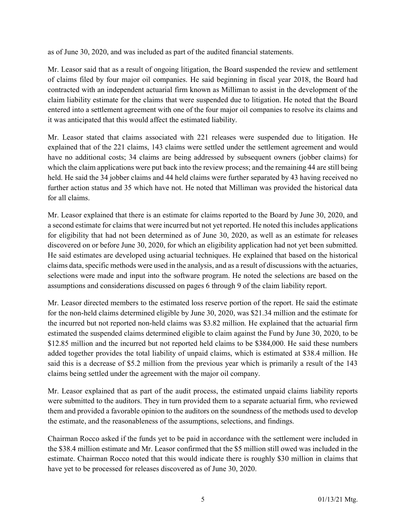as of June 30, 2020, and was included as part of the audited financial statements.

Mr. Leasor said that as a result of ongoing litigation, the Board suspended the review and settlement of claims filed by four major oil companies. He said beginning in fiscal year 2018, the Board had contracted with an independent actuarial firm known as Milliman to assist in the development of the claim liability estimate for the claims that were suspended due to litigation. He noted that the Board entered into a settlement agreement with one of the four major oil companies to resolve its claims and it was anticipated that this would affect the estimated liability.

Mr. Leasor stated that claims associated with 221 releases were suspended due to litigation. He explained that of the 221 claims, 143 claims were settled under the settlement agreement and would have no additional costs; 34 claims are being addressed by subsequent owners (jobber claims) for which the claim applications were put back into the review process; and the remaining 44 are still being held. He said the 34 jobber claims and 44 held claims were further separated by 43 having received no further action status and 35 which have not. He noted that Milliman was provided the historical data for all claims.

Mr. Leasor explained that there is an estimate for claims reported to the Board by June 30, 2020, and a second estimate for claims that were incurred but not yet reported. He noted this includes applications for eligibility that had not been determined as of June 30, 2020, as well as an estimate for releases discovered on or before June 30, 2020, for which an eligibility application had not yet been submitted. He said estimates are developed using actuarial techniques. He explained that based on the historical claims data, specific methods were used in the analysis, and as a result of discussions with the actuaries, selections were made and input into the software program. He noted the selections are based on the assumptions and considerations discussed on pages 6 through 9 of the claim liability report.

Mr. Leasor directed members to the estimated loss reserve portion of the report. He said the estimate for the non-held claims determined eligible by June 30, 2020, was \$21.34 million and the estimate for the incurred but not reported non-held claims was \$3.82 million. He explained that the actuarial firm estimated the suspended claims determined eligible to claim against the Fund by June 30, 2020, to be \$12.85 million and the incurred but not reported held claims to be \$384,000. He said these numbers added together provides the total liability of unpaid claims, which is estimated at \$38.4 million. He said this is a decrease of \$5.2 million from the previous year which is primarily a result of the 143 claims being settled under the agreement with the major oil company.

Mr. Leasor explained that as part of the audit process, the estimated unpaid claims liability reports were submitted to the auditors. They in turn provided them to a separate actuarial firm, who reviewed them and provided a favorable opinion to the auditors on the soundness of the methods used to develop the estimate, and the reasonableness of the assumptions, selections, and findings.

Chairman Rocco asked if the funds yet to be paid in accordance with the settlement were included in the \$38.4 million estimate and Mr. Leasor confirmed that the \$5 million still owed was included in the estimate. Chairman Rocco noted that this would indicate there is roughly \$30 million in claims that have yet to be processed for releases discovered as of June 30, 2020.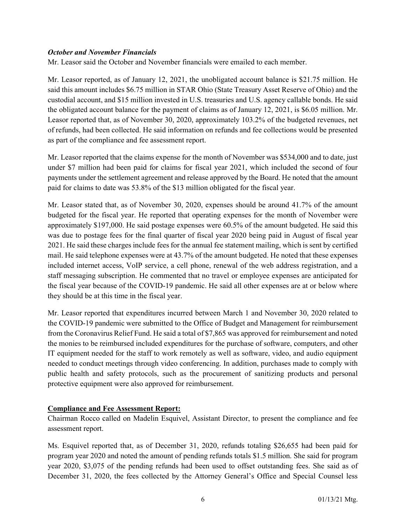## October and November Financials

Mr. Leasor said the October and November financials were emailed to each member.

Mr. Leasor reported, as of January 12, 2021, the unobligated account balance is \$21.75 million. He said this amount includes \$6.75 million in STAR Ohio (State Treasury Asset Reserve of Ohio) and the custodial account, and \$15 million invested in U.S. treasuries and U.S. agency callable bonds. He said the obligated account balance for the payment of claims as of January 12, 2021, is \$6.05 million. Mr. Leasor reported that, as of November 30, 2020, approximately 103.2% of the budgeted revenues, net of refunds, had been collected. He said information on refunds and fee collections would be presented as part of the compliance and fee assessment report.

Mr. Leasor reported that the claims expense for the month of November was \$534,000 and to date, just under \$7 million had been paid for claims for fiscal year 2021, which included the second of four payments under the settlement agreement and release approved by the Board. He noted that the amount paid for claims to date was 53.8% of the \$13 million obligated for the fiscal year.

Mr. Leasor stated that, as of November 30, 2020, expenses should be around 41.7% of the amount budgeted for the fiscal year. He reported that operating expenses for the month of November were approximately \$197,000. He said postage expenses were 60.5% of the amount budgeted. He said this was due to postage fees for the final quarter of fiscal year 2020 being paid in August of fiscal year 2021. He said these charges include fees for the annual fee statement mailing, which is sent by certified mail. He said telephone expenses were at 43.7% of the amount budgeted. He noted that these expenses included internet access, VoIP service, a cell phone, renewal of the web address registration, and a staff messaging subscription. He commented that no travel or employee expenses are anticipated for the fiscal year because of the COVID-19 pandemic. He said all other expenses are at or below where they should be at this time in the fiscal year.

Mr. Leasor reported that expenditures incurred between March 1 and November 30, 2020 related to the COVID-19 pandemic were submitted to the Office of Budget and Management for reimbursement from the Coronavirus Relief Fund. He said a total of \$7,865 was approved for reimbursement and noted the monies to be reimbursed included expenditures for the purchase of software, computers, and other IT equipment needed for the staff to work remotely as well as software, video, and audio equipment needed to conduct meetings through video conferencing. In addition, purchases made to comply with public health and safety protocols, such as the procurement of sanitizing products and personal protective equipment were also approved for reimbursement.

# Compliance and Fee Assessment Report:

Chairman Rocco called on Madelin Esquivel, Assistant Director, to present the compliance and fee assessment report.

Ms. Esquivel reported that, as of December 31, 2020, refunds totaling \$26,655 had been paid for program year 2020 and noted the amount of pending refunds totals \$1.5 million. She said for program year 2020, \$3,075 of the pending refunds had been used to offset outstanding fees. She said as of December 31, 2020, the fees collected by the Attorney General's Office and Special Counsel less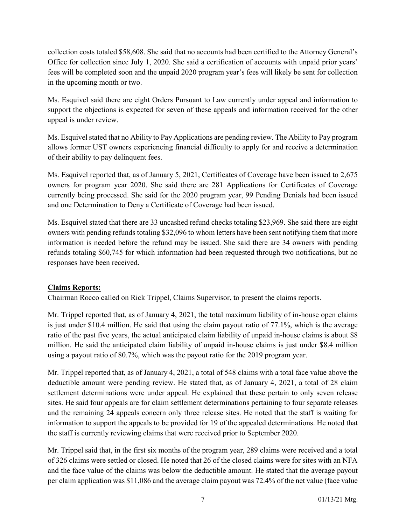collection costs totaled \$58,608. She said that no accounts had been certified to the Attorney General's Office for collection since July 1, 2020. She said a certification of accounts with unpaid prior years' fees will be completed soon and the unpaid 2020 program year's fees will likely be sent for collection in the upcoming month or two.

Ms. Esquivel said there are eight Orders Pursuant to Law currently under appeal and information to support the objections is expected for seven of these appeals and information received for the other appeal is under review.

Ms. Esquivel stated that no Ability to Pay Applications are pending review. The Ability to Pay program allows former UST owners experiencing financial difficulty to apply for and receive a determination of their ability to pay delinquent fees.

Ms. Esquivel reported that, as of January 5, 2021, Certificates of Coverage have been issued to 2,675 owners for program year 2020. She said there are 281 Applications for Certificates of Coverage currently being processed. She said for the 2020 program year, 99 Pending Denials had been issued and one Determination to Deny a Certificate of Coverage had been issued.

Ms. Esquivel stated that there are 33 uncashed refund checks totaling \$23,969. She said there are eight owners with pending refunds totaling \$32,096 to whom letters have been sent notifying them that more information is needed before the refund may be issued. She said there are 34 owners with pending refunds totaling \$60,745 for which information had been requested through two notifications, but no responses have been received.

# Claims Reports:

Chairman Rocco called on Rick Trippel, Claims Supervisor, to present the claims reports.

Mr. Trippel reported that, as of January 4, 2021, the total maximum liability of in-house open claims is just under \$10.4 million. He said that using the claim payout ratio of 77.1%, which is the average ratio of the past five years, the actual anticipated claim liability of unpaid in-house claims is about \$8 million. He said the anticipated claim liability of unpaid in-house claims is just under \$8.4 million using a payout ratio of 80.7%, which was the payout ratio for the 2019 program year.

Mr. Trippel reported that, as of January 4, 2021, a total of 548 claims with a total face value above the deductible amount were pending review. He stated that, as of January 4, 2021, a total of 28 claim settlement determinations were under appeal. He explained that these pertain to only seven release sites. He said four appeals are for claim settlement determinations pertaining to four separate releases and the remaining 24 appeals concern only three release sites. He noted that the staff is waiting for information to support the appeals to be provided for 19 of the appealed determinations. He noted that the staff is currently reviewing claims that were received prior to September 2020.

Mr. Trippel said that, in the first six months of the program year, 289 claims were received and a total of 326 claims were settled or closed. He noted that 26 of the closed claims were for sites with an NFA and the face value of the claims was below the deductible amount. He stated that the average payout per claim application was \$11,086 and the average claim payout was 72.4% of the net value (face value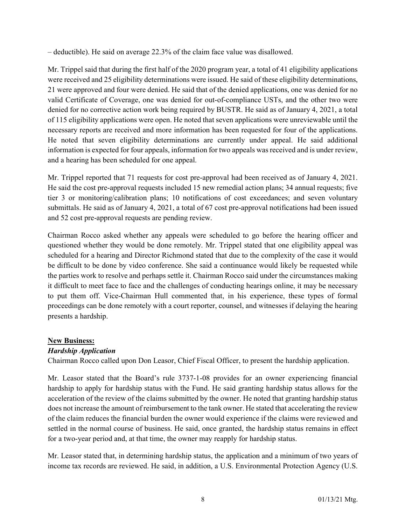– deductible). He said on average 22.3% of the claim face value was disallowed.

Mr. Trippel said that during the first half of the 2020 program year, a total of 41 eligibility applications were received and 25 eligibility determinations were issued. He said of these eligibility determinations, 21 were approved and four were denied. He said that of the denied applications, one was denied for no valid Certificate of Coverage, one was denied for out-of-compliance USTs, and the other two were denied for no corrective action work being required by BUSTR. He said as of January 4, 2021, a total of 115 eligibility applications were open. He noted that seven applications were unreviewable until the necessary reports are received and more information has been requested for four of the applications. He noted that seven eligibility determinations are currently under appeal. He said additional information is expected for four appeals, information for two appeals was received and is under review, and a hearing has been scheduled for one appeal.

Mr. Trippel reported that 71 requests for cost pre-approval had been received as of January 4, 2021. He said the cost pre-approval requests included 15 new remedial action plans; 34 annual requests; five tier 3 or monitoring/calibration plans; 10 notifications of cost exceedances; and seven voluntary submittals. He said as of January 4, 2021, a total of 67 cost pre-approval notifications had been issued and 52 cost pre-approval requests are pending review.

Chairman Rocco asked whether any appeals were scheduled to go before the hearing officer and questioned whether they would be done remotely. Mr. Trippel stated that one eligibility appeal was scheduled for a hearing and Director Richmond stated that due to the complexity of the case it would be difficult to be done by video conference. She said a continuance would likely be requested while the parties work to resolve and perhaps settle it. Chairman Rocco said under the circumstances making it difficult to meet face to face and the challenges of conducting hearings online, it may be necessary to put them off. Vice-Chairman Hull commented that, in his experience, these types of formal proceedings can be done remotely with a court reporter, counsel, and witnesses if delaying the hearing presents a hardship.

# New Business:

# Hardship Application

Chairman Rocco called upon Don Leasor, Chief Fiscal Officer, to present the hardship application.

Mr. Leasor stated that the Board's rule 3737-1-08 provides for an owner experiencing financial hardship to apply for hardship status with the Fund. He said granting hardship status allows for the acceleration of the review of the claims submitted by the owner. He noted that granting hardship status does not increase the amount of reimbursement to the tank owner. He stated that accelerating the review of the claim reduces the financial burden the owner would experience if the claims were reviewed and settled in the normal course of business. He said, once granted, the hardship status remains in effect for a two-year period and, at that time, the owner may reapply for hardship status.

Mr. Leasor stated that, in determining hardship status, the application and a minimum of two years of income tax records are reviewed. He said, in addition, a U.S. Environmental Protection Agency (U.S.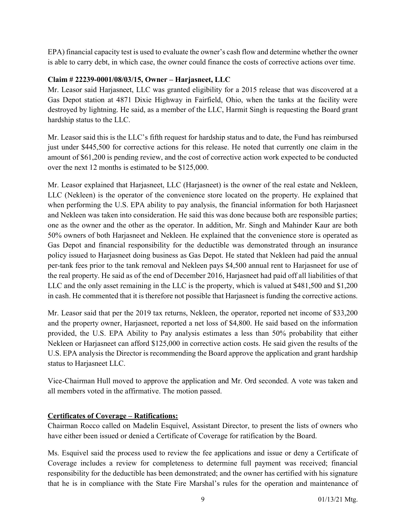EPA) financial capacity test is used to evaluate the owner's cash flow and determine whether the owner is able to carry debt, in which case, the owner could finance the costs of corrective actions over time.

## Claim # 22239-0001/08/03/15, Owner – Harjasneet, LLC

Mr. Leasor said Harjasneet, LLC was granted eligibility for a 2015 release that was discovered at a Gas Depot station at 4871 Dixie Highway in Fairfield, Ohio, when the tanks at the facility were destroyed by lightning. He said, as a member of the LLC, Harmit Singh is requesting the Board grant hardship status to the LLC.

Mr. Leasor said this is the LLC's fifth request for hardship status and to date, the Fund has reimbursed just under \$445,500 for corrective actions for this release. He noted that currently one claim in the amount of \$61,200 is pending review, and the cost of corrective action work expected to be conducted over the next 12 months is estimated to be \$125,000.

Mr. Leasor explained that Harjasneet, LLC (Harjasneet) is the owner of the real estate and Nekleen, LLC (Nekleen) is the operator of the convenience store located on the property. He explained that when performing the U.S. EPA ability to pay analysis, the financial information for both Harjasneet and Nekleen was taken into consideration. He said this was done because both are responsible parties; one as the owner and the other as the operator. In addition, Mr. Singh and Mahinder Kaur are both 50% owners of both Harjasneet and Nekleen. He explained that the convenience store is operated as Gas Depot and financial responsibility for the deductible was demonstrated through an insurance policy issued to Harjasneet doing business as Gas Depot. He stated that Nekleen had paid the annual per-tank fees prior to the tank removal and Nekleen pays \$4,500 annual rent to Harjasneet for use of the real property. He said as of the end of December 2016, Harjasneet had paid off all liabilities of that LLC and the only asset remaining in the LLC is the property, which is valued at \$481,500 and \$1,200 in cash. He commented that it is therefore not possible that Harjasneet is funding the corrective actions.

Mr. Leasor said that per the 2019 tax returns, Nekleen, the operator, reported net income of \$33,200 and the property owner, Harjasneet, reported a net loss of \$4,800. He said based on the information provided, the U.S. EPA Ability to Pay analysis estimates a less than 50% probability that either Nekleen or Harjasneet can afford \$125,000 in corrective action costs. He said given the results of the U.S. EPA analysis the Director is recommending the Board approve the application and grant hardship status to Harjasneet LLC.

Vice-Chairman Hull moved to approve the application and Mr. Ord seconded. A vote was taken and all members voted in the affirmative. The motion passed.

# Certificates of Coverage – Ratifications:

Chairman Rocco called on Madelin Esquivel, Assistant Director, to present the lists of owners who have either been issued or denied a Certificate of Coverage for ratification by the Board.

Ms. Esquivel said the process used to review the fee applications and issue or deny a Certificate of Coverage includes a review for completeness to determine full payment was received; financial responsibility for the deductible has been demonstrated; and the owner has certified with his signature that he is in compliance with the State Fire Marshal's rules for the operation and maintenance of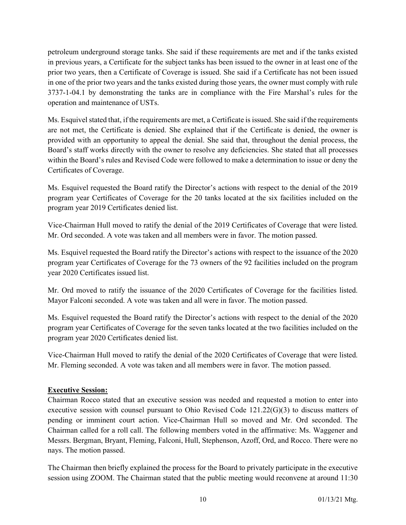petroleum underground storage tanks. She said if these requirements are met and if the tanks existed in previous years, a Certificate for the subject tanks has been issued to the owner in at least one of the prior two years, then a Certificate of Coverage is issued. She said if a Certificate has not been issued in one of the prior two years and the tanks existed during those years, the owner must comply with rule 3737-1-04.1 by demonstrating the tanks are in compliance with the Fire Marshal's rules for the operation and maintenance of USTs.

Ms. Esquivel stated that, if the requirements are met, a Certificate is issued. She said if the requirements are not met, the Certificate is denied. She explained that if the Certificate is denied, the owner is provided with an opportunity to appeal the denial. She said that, throughout the denial process, the Board's staff works directly with the owner to resolve any deficiencies. She stated that all processes within the Board's rules and Revised Code were followed to make a determination to issue or deny the Certificates of Coverage.

Ms. Esquivel requested the Board ratify the Director's actions with respect to the denial of the 2019 program year Certificates of Coverage for the 20 tanks located at the six facilities included on the program year 2019 Certificates denied list.

Vice-Chairman Hull moved to ratify the denial of the 2019 Certificates of Coverage that were listed. Mr. Ord seconded. A vote was taken and all members were in favor. The motion passed.

Ms. Esquivel requested the Board ratify the Director's actions with respect to the issuance of the 2020 program year Certificates of Coverage for the 73 owners of the 92 facilities included on the program year 2020 Certificates issued list.

Mr. Ord moved to ratify the issuance of the 2020 Certificates of Coverage for the facilities listed. Mayor Falconi seconded. A vote was taken and all were in favor. The motion passed.

Ms. Esquivel requested the Board ratify the Director's actions with respect to the denial of the 2020 program year Certificates of Coverage for the seven tanks located at the two facilities included on the program year 2020 Certificates denied list.

Vice-Chairman Hull moved to ratify the denial of the 2020 Certificates of Coverage that were listed. Mr. Fleming seconded. A vote was taken and all members were in favor. The motion passed.

# Executive Session:

Chairman Rocco stated that an executive session was needed and requested a motion to enter into executive session with counsel pursuant to Ohio Revised Code 121.22(G)(3) to discuss matters of pending or imminent court action. Vice-Chairman Hull so moved and Mr. Ord seconded. The Chairman called for a roll call. The following members voted in the affirmative: Ms. Waggener and Messrs. Bergman, Bryant, Fleming, Falconi, Hull, Stephenson, Azoff, Ord, and Rocco. There were no nays. The motion passed.

The Chairman then briefly explained the process for the Board to privately participate in the executive session using ZOOM. The Chairman stated that the public meeting would reconvene at around 11:30